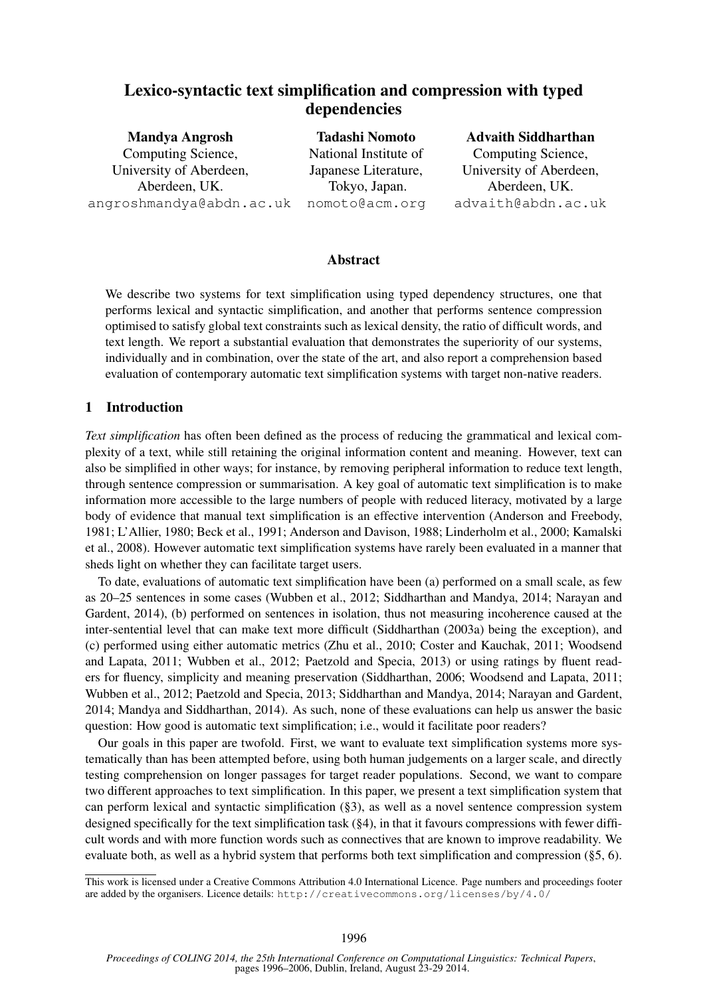# Lexico-syntactic text simplification and compression with typed dependencies

| <b>Tadashi Nomoto</b> | <b>Advaith Siddharthan</b> |
|-----------------------|----------------------------|
| National Institute of | Computing Science,         |
| Japanese Literature,  | University of Aberdeen,    |
| Tokyo, Japan.         | Aberdeen, UK.              |
| nomoto@acm.org        | advaith@abdn.ac.uk         |
|                       |                            |

# **Abstract**

We describe two systems for text simplification using typed dependency structures, one that performs lexical and syntactic simplification, and another that performs sentence compression optimised to satisfy global text constraints such as lexical density, the ratio of difficult words, and text length. We report a substantial evaluation that demonstrates the superiority of our systems, individually and in combination, over the state of the art, and also report a comprehension based evaluation of contemporary automatic text simplification systems with target non-native readers.

# 1 Introduction

*Text simplification* has often been defined as the process of reducing the grammatical and lexical complexity of a text, while still retaining the original information content and meaning. However, text can also be simplified in other ways; for instance, by removing peripheral information to reduce text length, through sentence compression or summarisation. A key goal of automatic text simplification is to make information more accessible to the large numbers of people with reduced literacy, motivated by a large body of evidence that manual text simplification is an effective intervention (Anderson and Freebody, 1981; L'Allier, 1980; Beck et al., 1991; Anderson and Davison, 1988; Linderholm et al., 2000; Kamalski et al., 2008). However automatic text simplification systems have rarely been evaluated in a manner that sheds light on whether they can facilitate target users.

To date, evaluations of automatic text simplification have been (a) performed on a small scale, as few as 20–25 sentences in some cases (Wubben et al., 2012; Siddharthan and Mandya, 2014; Narayan and Gardent, 2014), (b) performed on sentences in isolation, thus not measuring incoherence caused at the inter-sentential level that can make text more difficult (Siddharthan (2003a) being the exception), and (c) performed using either automatic metrics (Zhu et al., 2010; Coster and Kauchak, 2011; Woodsend and Lapata, 2011; Wubben et al., 2012; Paetzold and Specia, 2013) or using ratings by fluent readers for fluency, simplicity and meaning preservation (Siddharthan, 2006; Woodsend and Lapata, 2011; Wubben et al., 2012; Paetzold and Specia, 2013; Siddharthan and Mandya, 2014; Narayan and Gardent, 2014; Mandya and Siddharthan, 2014). As such, none of these evaluations can help us answer the basic question: How good is automatic text simplification; i.e., would it facilitate poor readers?

Our goals in this paper are twofold. First, we want to evaluate text simplification systems more systematically than has been attempted before, using both human judgements on a larger scale, and directly testing comprehension on longer passages for target reader populations. Second, we want to compare two different approaches to text simplification. In this paper, we present a text simplification system that can perform lexical and syntactic simplification (§3), as well as a novel sentence compression system designed specifically for the text simplification task (§4), in that it favours compressions with fewer difficult words and with more function words such as connectives that are known to improve readability. We evaluate both, as well as a hybrid system that performs both text simplification and compression (§5, 6).

This work is licensed under a Creative Commons Attribution 4.0 International Licence. Page numbers and proceedings footer are added by the organisers. Licence details: http://creativecommons.org/licenses/by/4.0/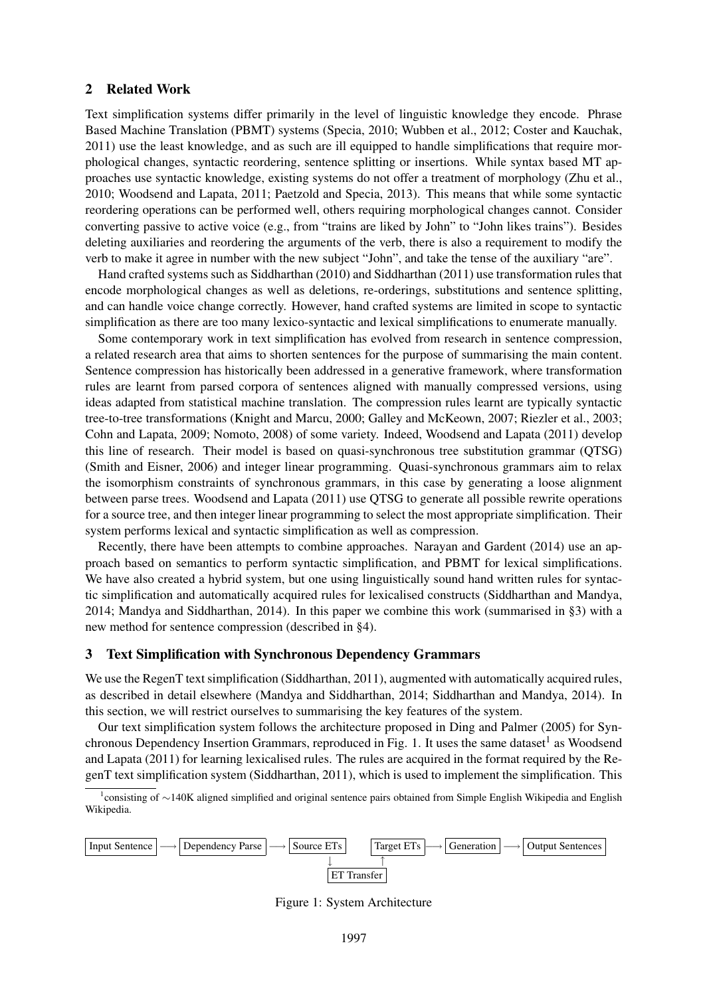# 2 Related Work

Text simplification systems differ primarily in the level of linguistic knowledge they encode. Phrase Based Machine Translation (PBMT) systems (Specia, 2010; Wubben et al., 2012; Coster and Kauchak, 2011) use the least knowledge, and as such are ill equipped to handle simplifications that require morphological changes, syntactic reordering, sentence splitting or insertions. While syntax based MT approaches use syntactic knowledge, existing systems do not offer a treatment of morphology (Zhu et al., 2010; Woodsend and Lapata, 2011; Paetzold and Specia, 2013). This means that while some syntactic reordering operations can be performed well, others requiring morphological changes cannot. Consider converting passive to active voice (e.g., from "trains are liked by John" to "John likes trains"). Besides deleting auxiliaries and reordering the arguments of the verb, there is also a requirement to modify the verb to make it agree in number with the new subject "John", and take the tense of the auxiliary "are".

Hand crafted systems such as Siddharthan (2010) and Siddharthan (2011) use transformation rules that encode morphological changes as well as deletions, re-orderings, substitutions and sentence splitting, and can handle voice change correctly. However, hand crafted systems are limited in scope to syntactic simplification as there are too many lexico-syntactic and lexical simplifications to enumerate manually.

Some contemporary work in text simplification has evolved from research in sentence compression, a related research area that aims to shorten sentences for the purpose of summarising the main content. Sentence compression has historically been addressed in a generative framework, where transformation rules are learnt from parsed corpora of sentences aligned with manually compressed versions, using ideas adapted from statistical machine translation. The compression rules learnt are typically syntactic tree-to-tree transformations (Knight and Marcu, 2000; Galley and McKeown, 2007; Riezler et al., 2003; Cohn and Lapata, 2009; Nomoto, 2008) of some variety. Indeed, Woodsend and Lapata (2011) develop this line of research. Their model is based on quasi-synchronous tree substitution grammar (QTSG) (Smith and Eisner, 2006) and integer linear programming. Quasi-synchronous grammars aim to relax the isomorphism constraints of synchronous grammars, in this case by generating a loose alignment between parse trees. Woodsend and Lapata (2011) use QTSG to generate all possible rewrite operations for a source tree, and then integer linear programming to select the most appropriate simplification. Their system performs lexical and syntactic simplification as well as compression.

Recently, there have been attempts to combine approaches. Narayan and Gardent (2014) use an approach based on semantics to perform syntactic simplification, and PBMT for lexical simplifications. We have also created a hybrid system, but one using linguistically sound hand written rules for syntactic simplification and automatically acquired rules for lexicalised constructs (Siddharthan and Mandya, 2014; Mandya and Siddharthan, 2014). In this paper we combine this work (summarised in §3) with a new method for sentence compression (described in §4).

# 3 Text Simplification with Synchronous Dependency Grammars

We use the RegenT text simplification (Siddharthan, 2011), augmented with automatically acquired rules, as described in detail elsewhere (Mandya and Siddharthan, 2014; Siddharthan and Mandya, 2014). In this section, we will restrict ourselves to summarising the key features of the system.

Our text simplification system follows the architecture proposed in Ding and Palmer (2005) for Synchronous Dependency Insertion Grammars, reproduced in Fig. 1. It uses the same dataset<sup>1</sup> as Woodsend and Lapata (2011) for learning lexicalised rules. The rules are acquired in the format required by the RegenT text simplification system (Siddharthan, 2011), which is used to implement the simplification. This

1 consisting of ∼140K aligned simplified and original sentence pairs obtained from Simple English Wikipedia and English Wikipedia.



Figure 1: System Architecture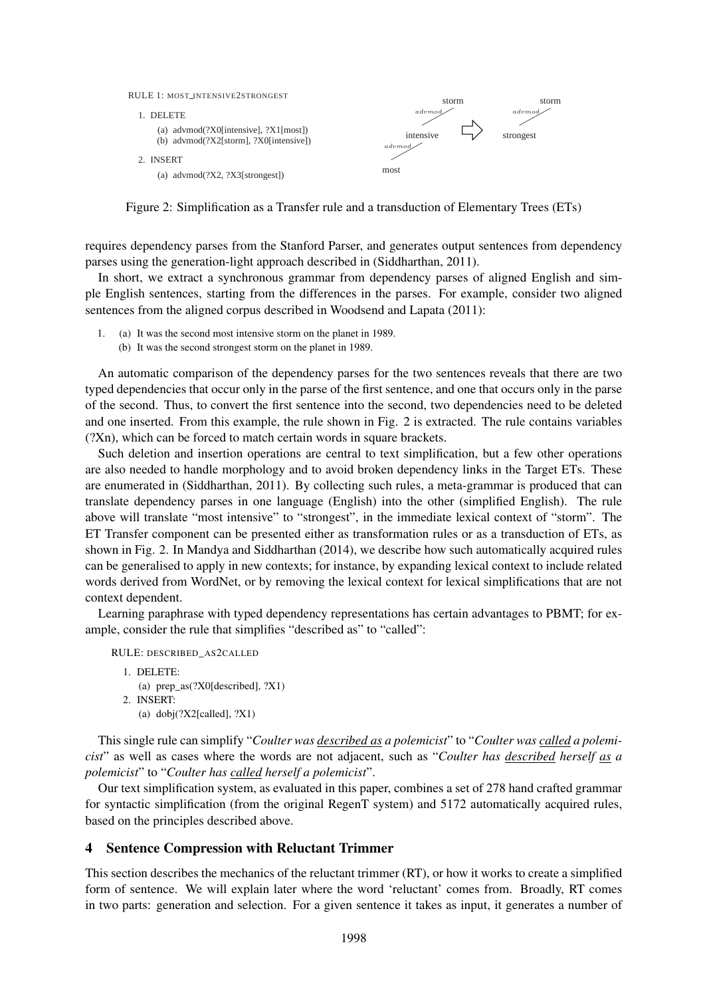

Figure 2: Simplification as a Transfer rule and a transduction of Elementary Trees (ETs)

requires dependency parses from the Stanford Parser, and generates output sentences from dependency parses using the generation-light approach described in (Siddharthan, 2011).

In short, we extract a synchronous grammar from dependency parses of aligned English and simple English sentences, starting from the differences in the parses. For example, consider two aligned sentences from the aligned corpus described in Woodsend and Lapata (2011):

1. (a) It was the second most intensive storm on the planet in 1989. (b) It was the second strongest storm on the planet in 1989.

An automatic comparison of the dependency parses for the two sentences reveals that there are two typed dependencies that occur only in the parse of the first sentence, and one that occurs only in the parse of the second. Thus, to convert the first sentence into the second, two dependencies need to be deleted and one inserted. From this example, the rule shown in Fig. 2 is extracted. The rule contains variables (?Xn), which can be forced to match certain words in square brackets.

Such deletion and insertion operations are central to text simplification, but a few other operations are also needed to handle morphology and to avoid broken dependency links in the Target ETs. These are enumerated in (Siddharthan, 2011). By collecting such rules, a meta-grammar is produced that can translate dependency parses in one language (English) into the other (simplified English). The rule above will translate "most intensive" to "strongest", in the immediate lexical context of "storm". The ET Transfer component can be presented either as transformation rules or as a transduction of ETs, as shown in Fig. 2. In Mandya and Siddharthan (2014), we describe how such automatically acquired rules can be generalised to apply in new contexts; for instance, by expanding lexical context to include related words derived from WordNet, or by removing the lexical context for lexical simplifications that are not context dependent.

Learning paraphrase with typed dependency representations has certain advantages to PBMT; for example, consider the rule that simplifies "described as" to "called":

```
RULE: DESCRIBED_AS2CALLED
1. DELETE:
   (a) prep_as(?X0[described], ?X1)
2. INSERT:
   (a) dobj(?X2[called], ?X1)
```
This single rule can simplify "*Coulter was described as a polemicist*" to "*Coulter was called a polemicist*" as well as cases where the words are not adjacent, such as "*Coulter has described herself as a polemicist*" to "*Coulter has called herself a polemicist*".

Our text simplification system, as evaluated in this paper, combines a set of 278 hand crafted grammar for syntactic simplification (from the original RegenT system) and 5172 automatically acquired rules, based on the principles described above.

#### 4 Sentence Compression with Reluctant Trimmer

This section describes the mechanics of the reluctant trimmer (RT), or how it works to create a simplified form of sentence. We will explain later where the word 'reluctant' comes from. Broadly, RT comes in two parts: generation and selection. For a given sentence it takes as input, it generates a number of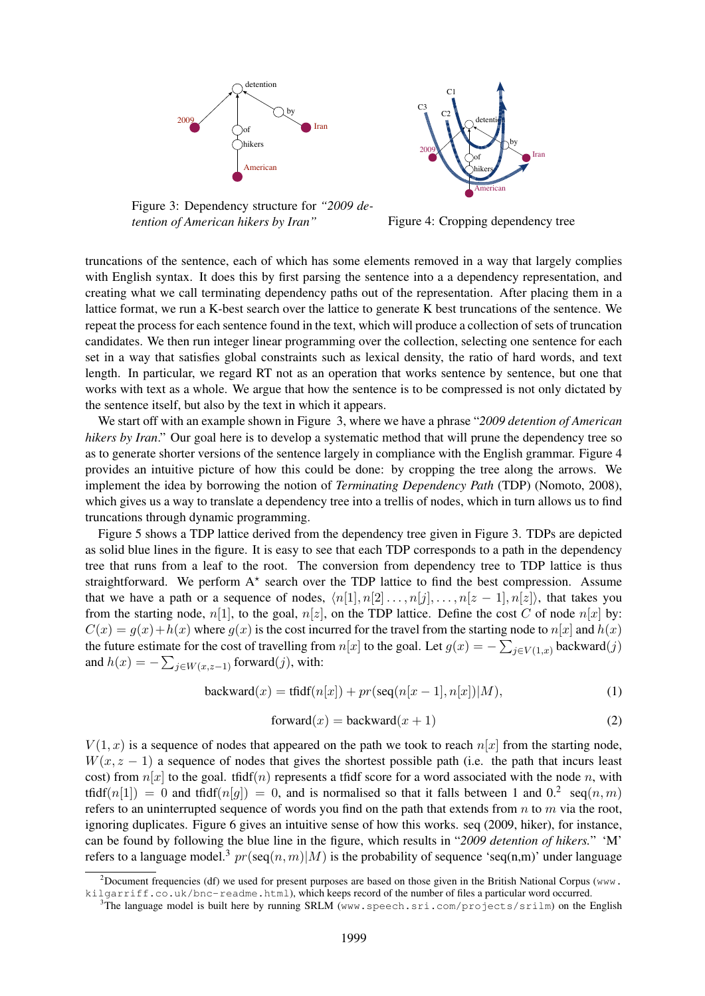



Figure 3: Dependency structure for *"2009 detention of American hikers by Iran"*

Figure 4: Cropping dependency tree

truncations of the sentence, each of which has some elements removed in a way that largely complies with English syntax. It does this by first parsing the sentence into a a dependency representation, and creating what we call terminating dependency paths out of the representation. After placing them in a lattice format, we run a K-best search over the lattice to generate K best truncations of the sentence. We repeat the process for each sentence found in the text, which will produce a collection of sets of truncation candidates. We then run integer linear programming over the collection, selecting one sentence for each set in a way that satisfies global constraints such as lexical density, the ratio of hard words, and text length. In particular, we regard RT not as an operation that works sentence by sentence, but one that works with text as a whole. We argue that how the sentence is to be compressed is not only dictated by the sentence itself, but also by the text in which it appears.

We start off with an example shown in Figure 3, where we have a phrase "*2009 detention of American hikers by Iran*." Our goal here is to develop a systematic method that will prune the dependency tree so as to generate shorter versions of the sentence largely in compliance with the English grammar. Figure 4 provides an intuitive picture of how this could be done: by cropping the tree along the arrows. We implement the idea by borrowing the notion of *Terminating Dependency Path* (TDP) (Nomoto, 2008), which gives us a way to translate a dependency tree into a trellis of nodes, which in turn allows us to find truncations through dynamic programming.

Figure 5 shows a TDP lattice derived from the dependency tree given in Figure 3. TDPs are depicted as solid blue lines in the figure. It is easy to see that each TDP corresponds to a path in the dependency tree that runs from a leaf to the root. The conversion from dependency tree to TDP lattice is thus straightforward. We perform  $A^*$  search over the TDP lattice to find the best compression. Assume that we have a path or a sequence of nodes,  $\langle n[1], n[2], \ldots, n[j], \ldots, n[z-1], n[z] \rangle$ , that takes you from the starting node,  $n[1]$ , to the goal,  $n[z]$ , on the TDP lattice. Define the cost C of node  $n[x]$  by:  $C(x) = g(x) + h(x)$  where  $g(x)$  is the cost incurred for the travel from the starting node to  $n[x]$  and  $h(x)$ the future estimate for the cost of travelling from  $n[x]$  to the goal. Let  $g(x) = -\sum_{j \in V(1,x)} \text{backward}(j)$ and  $h(x) = -\sum_{j \in W(x, z-1)}$  forward(j), with:

$$
\text{backward}(x) = \text{tfidf}(n[x]) + pr(\text{seq}(n[x-1], n[x]) | M),\tag{1}
$$

$$
forward(x) = backward(x + 1)
$$
\n(2)

 $V(1, x)$  is a sequence of nodes that appeared on the path we took to reach  $n[x]$  from the starting node,  $W(x, z - 1)$  a sequence of nodes that gives the shortest possible path (i.e. the path that incurs least cost) from  $n[x]$  to the goal. tfidf(n) represents a tfidf score for a word associated with the node n, with tfidf(n[1]) = 0 and tfidf(n[g]) = 0, and is normalised so that it falls between 1 and 0.<sup>2</sup> seq(n, m) refers to an uninterrupted sequence of words you find on the path that extends from  $n$  to  $m$  via the root, ignoring duplicates. Figure 6 gives an intuitive sense of how this works. seq (2009, hiker), for instance, can be found by following the blue line in the figure, which results in "*2009 detention of hikers.*" 'M' refers to a language model.<sup>3</sup>  $pr(\text{seq}(n, m)|M)$  is the probability of sequence 'seq(n,m)' under language

<sup>&</sup>lt;sup>2</sup>Document frequencies (df) we used for present purposes are based on those given in the British National Corpus (www. kilgarriff.co.uk/bnc-readme.html), which keeps record of the number of files a particular word occurred.

<sup>&</sup>lt;sup>3</sup>The language model is built here by running SRLM (www.speech.sri.com/projects/srilm) on the English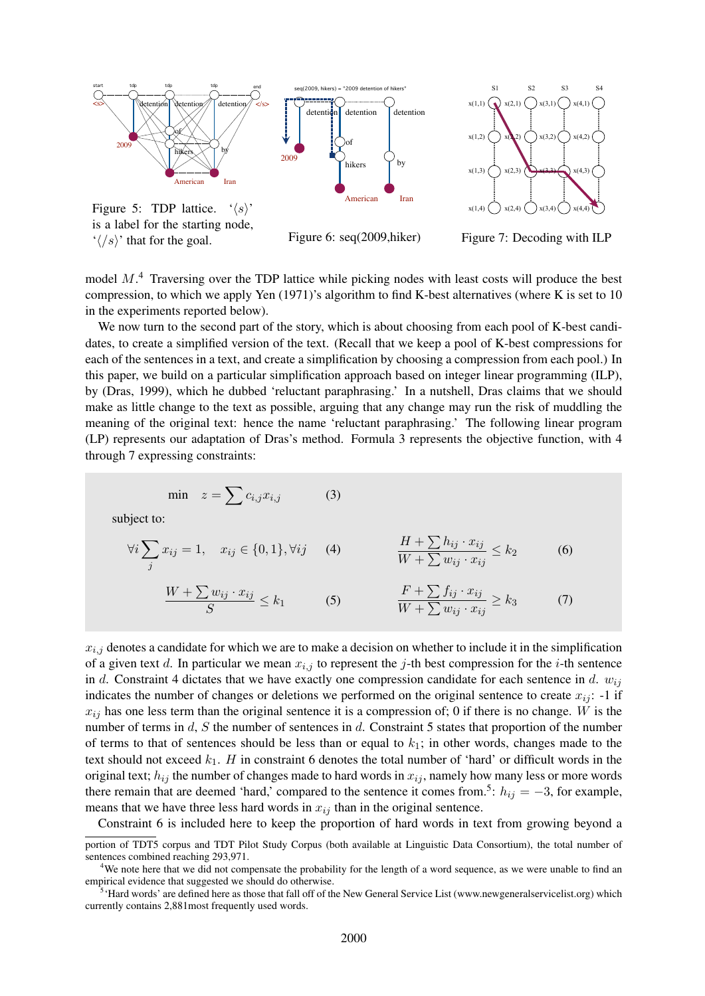



is a label for the starting node,  $\langle \langle \rangle$  that for the goal.

Figure 6: seq(2009,hiker)

Figure 7: Decoding with ILP

model  $M$ <sup>4</sup>. Traversing over the TDP lattice while picking nodes with least costs will produce the best compression, to which we apply Yen (1971)'s algorithm to find K-best alternatives (where K is set to 10 in the experiments reported below).

We now turn to the second part of the story, which is about choosing from each pool of K-best candidates, to create a simplified version of the text. (Recall that we keep a pool of K-best compressions for each of the sentences in a text, and create a simplification by choosing a compression from each pool.) In this paper, we build on a particular simplification approach based on integer linear programming (ILP), by (Dras, 1999), which he dubbed 'reluctant paraphrasing.' In a nutshell, Dras claims that we should make as little change to the text as possible, arguing that any change may run the risk of muddling the meaning of the original text: hence the name 'reluctant paraphrasing.' The following linear program (LP) represents our adaptation of Dras's method. Formula 3 represents the objective function, with 4 through 7 expressing constraints:

$$
\min \quad z = \sum c_{i,j} x_{i,j} \tag{3}
$$

subject to:

$$
\forall i \sum_j x_{ij} = 1, \quad x_{ij} \in \{0, 1\}, \forall ij \qquad (4) \qquad \qquad \frac{H + \sum h_{ij} \cdot x_{ij}}{W + \sum w_{ij} \cdot x_{ij}} \le k_2 \qquad \qquad (6)
$$

$$
\frac{W + \sum w_{ij} \cdot x_{ij}}{S} \le k_1 \tag{5} \qquad \frac{F + \sum f_{ij} \cdot x_{ij}}{W + \sum w_{ij} \cdot x_{ij}} \ge k_3 \tag{7}
$$

 $x_{i,j}$  denotes a candidate for which we are to make a decision on whether to include it in the simplification of a given text d. In particular we mean  $x_{i,j}$  to represent the j-th best compression for the i-th sentence in d. Constraint 4 dictates that we have exactly one compression candidate for each sentence in d.  $w_{ij}$ indicates the number of changes or deletions we performed on the original sentence to create  $x_{ij}$ : -1 if  $x_{ij}$  has one less term than the original sentence it is a compression of; 0 if there is no change. W is the number of terms in d, S the number of sentences in d. Constraint 5 states that proportion of the number of terms to that of sentences should be less than or equal to  $k_1$ ; in other words, changes made to the text should not exceed  $k_1$ . H in constraint 6 denotes the total number of 'hard' or difficult words in the original text;  $h_{ij}$  the number of changes made to hard words in  $x_{ij}$ , namely how many less or more words there remain that are deemed 'hard,' compared to the sentence it comes from.<sup>5</sup>:  $h_{ij} = -3$ , for example, means that we have three less hard words in  $x_{ij}$  than in the original sentence.

Constraint 6 is included here to keep the proportion of hard words in text from growing beyond a

portion of TDT5 corpus and TDT Pilot Study Corpus (both available at Linguistic Data Consortium), the total number of sentences combined reaching 293,971.

 $4W$ e note here that we did not compensate the probability for the length of a word sequence, as we were unable to find an empirical evidence that suggested we should do otherwise.

 $5$  Hard words' are defined here as those that fall off of the New General Service List (www.newgeneralservicelist.org) which currently contains 2,881most frequently used words.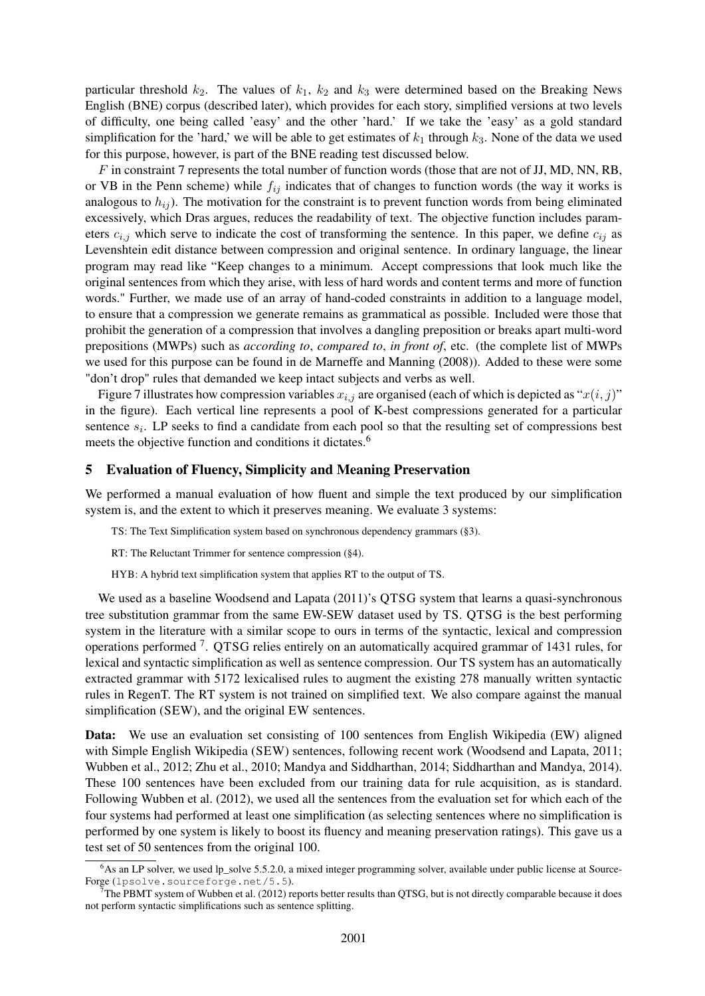particular threshold  $k_2$ . The values of  $k_1$ ,  $k_2$  and  $k_3$  were determined based on the Breaking News English (BNE) corpus (described later), which provides for each story, simplified versions at two levels of difficulty, one being called 'easy' and the other 'hard.' If we take the 'easy' as a gold standard simplification for the 'hard,' we will be able to get estimates of  $k_1$  through  $k_3$ . None of the data we used for this purpose, however, is part of the BNE reading test discussed below.

F in constraint 7 represents the total number of function words (those that are not of JJ, MD, NN, RB, or VB in the Penn scheme) while  $f_{ij}$  indicates that of changes to function words (the way it works is analogous to  $h_{ij}$ ). The motivation for the constraint is to prevent function words from being eliminated excessively, which Dras argues, reduces the readability of text. The objective function includes parameters  $c_{i,j}$  which serve to indicate the cost of transforming the sentence. In this paper, we define  $c_{ij}$  as Levenshtein edit distance between compression and original sentence. In ordinary language, the linear program may read like "Keep changes to a minimum. Accept compressions that look much like the original sentences from which they arise, with less of hard words and content terms and more of function words." Further, we made use of an array of hand-coded constraints in addition to a language model, to ensure that a compression we generate remains as grammatical as possible. Included were those that prohibit the generation of a compression that involves a dangling preposition or breaks apart multi-word prepositions (MWPs) such as *according to*, *compared to*, *in front of*, etc. (the complete list of MWPs we used for this purpose can be found in de Marneffe and Manning (2008)). Added to these were some "don't drop" rules that demanded we keep intact subjects and verbs as well.

Figure 7 illustrates how compression variables  $x_{i,j}$  are organised (each of which is depicted as " $x(i, j)$ " in the figure). Each vertical line represents a pool of K-best compressions generated for a particular sentence  $s_i$ . LP seeks to find a candidate from each pool so that the resulting set of compressions best meets the objective function and conditions it dictates.<sup>6</sup>

#### 5 Evaluation of Fluency, Simplicity and Meaning Preservation

We performed a manual evaluation of how fluent and simple the text produced by our simplification system is, and the extent to which it preserves meaning. We evaluate 3 systems:

TS: The Text Simplification system based on synchronous dependency grammars (§3).

RT: The Reluctant Trimmer for sentence compression (§4).

HYB: A hybrid text simplification system that applies RT to the output of TS.

We used as a baseline Woodsend and Lapata (2011)'s QTSG system that learns a quasi-synchronous tree substitution grammar from the same EW-SEW dataset used by TS. QTSG is the best performing system in the literature with a similar scope to ours in terms of the syntactic, lexical and compression operations performed<sup>7</sup>. QTSG relies entirely on an automatically acquired grammar of 1431 rules, for lexical and syntactic simplification as well as sentence compression. Our TS system has an automatically extracted grammar with 5172 lexicalised rules to augment the existing 278 manually written syntactic rules in RegenT. The RT system is not trained on simplified text. We also compare against the manual simplification (SEW), and the original EW sentences.

Data: We use an evaluation set consisting of 100 sentences from English Wikipedia (EW) aligned with Simple English Wikipedia (SEW) sentences, following recent work (Woodsend and Lapata, 2011; Wubben et al., 2012; Zhu et al., 2010; Mandya and Siddharthan, 2014; Siddharthan and Mandya, 2014). These 100 sentences have been excluded from our training data for rule acquisition, as is standard. Following Wubben et al. (2012), we used all the sentences from the evaluation set for which each of the four systems had performed at least one simplification (as selecting sentences where no simplification is performed by one system is likely to boost its fluency and meaning preservation ratings). This gave us a test set of 50 sentences from the original 100.

<sup>&</sup>lt;sup>6</sup>As an LP solver, we used lp\_solve 5.5.2.0, a mixed integer programming solver, available under public license at Source-Forge (lpsolve.sourceforge.net/5.5).

 $<sup>7</sup>$ The PBMT system of Wubben et al. (2012) reports better results than QTSG, but is not directly comparable because it does</sup> not perform syntactic simplifications such as sentence splitting.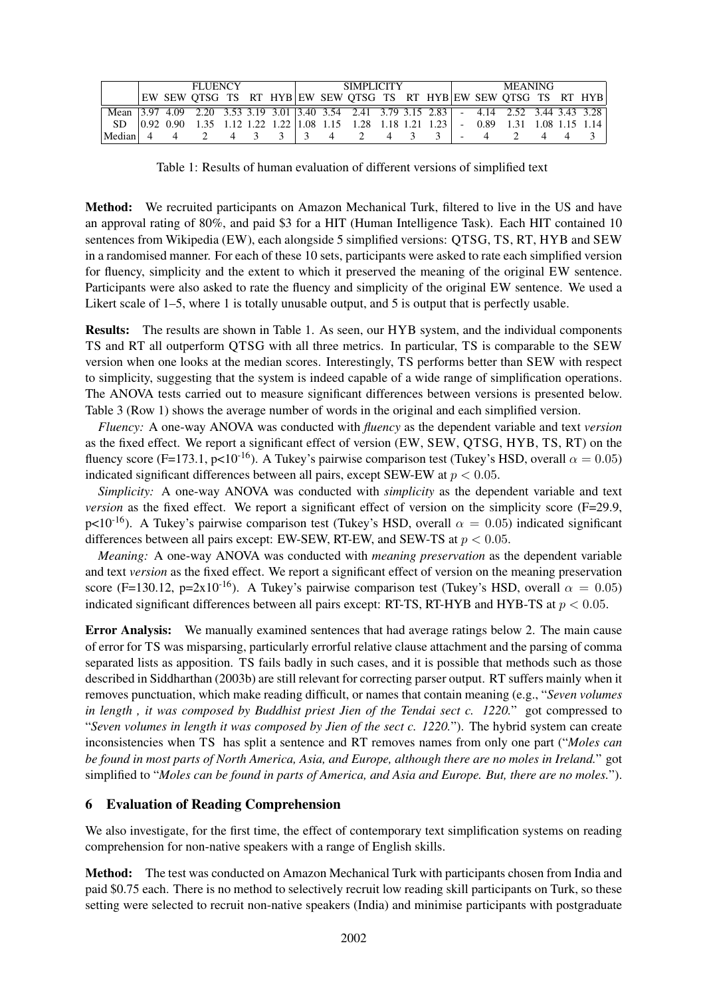|        | <b>FLUENCY</b> |  |                                                                                                                                                 |                |                |  | SIMPLICITY |  |  |  |  |  |  | <b>MEANING</b> |  |  |  |  |  |  |
|--------|----------------|--|-------------------------------------------------------------------------------------------------------------------------------------------------|----------------|----------------|--|------------|--|--|--|--|--|--|----------------|--|--|--|--|--|--|
|        |                |  | EW SEW OTSG TS RT HYB EW SEW OTSG TS RT HYB EW SEW OTSG TS RT HYB                                                                               |                |                |  |            |  |  |  |  |  |  |                |  |  |  |  |  |  |
|        |                |  | Mean 3.97 4.09 2.20 3.53 3.19 3.01 3.40 3.54 2.41 3.79 3.15 2.83 - 4.14 2.52 3.44 3.43 3.28                                                     |                |                |  |            |  |  |  |  |  |  |                |  |  |  |  |  |  |
|        |                |  | SD $\begin{bmatrix} 0.92 & 0.90 & 1.35 & 1.12 & 1.22 & 1.22 & 1.08 & 1.15 & 1.28 & 1.18 & 1.21 & 1.23 \end{bmatrix}$ - 0.89 1.31 1.08 1.15 1.14 |                |                |  |            |  |  |  |  |  |  |                |  |  |  |  |  |  |
| Median |                |  |                                                                                                                                                 | $\overline{4}$ | $\overline{3}$ |  |            |  |  |  |  |  |  |                |  |  |  |  |  |  |

Table 1: Results of human evaluation of different versions of simplified text

Method: We recruited participants on Amazon Mechanical Turk, filtered to live in the US and have an approval rating of 80%, and paid \$3 for a HIT (Human Intelligence Task). Each HIT contained 10 sentences from Wikipedia (EW), each alongside 5 simplified versions: QTSG, TS, RT, HYB and SEW in a randomised manner. For each of these 10 sets, participants were asked to rate each simplified version for fluency, simplicity and the extent to which it preserved the meaning of the original EW sentence. Participants were also asked to rate the fluency and simplicity of the original EW sentence. We used a Likert scale of 1–5, where 1 is totally unusable output, and 5 is output that is perfectly usable.

Results: The results are shown in Table 1. As seen, our HYB system, and the individual components TS and RT all outperform QTSG with all three metrics. In particular, TS is comparable to the SEW version when one looks at the median scores. Interestingly, TS performs better than SEW with respect to simplicity, suggesting that the system is indeed capable of a wide range of simplification operations. The ANOVA tests carried out to measure significant differences between versions is presented below. Table 3 (Row 1) shows the average number of words in the original and each simplified version.

*Fluency:* A one-way ANOVA was conducted with *fluency* as the dependent variable and text *version* as the fixed effect. We report a significant effect of version (EW, SEW, QTSG, HYB, TS, RT) on the fluency score (F=173.1, p<10<sup>-16</sup>). A Tukey's pairwise comparison test (Tukey's HSD, overall  $\alpha = 0.05$ ) indicated significant differences between all pairs, except SEW-EW at  $p < 0.05$ .

*Simplicity:* A one-way ANOVA was conducted with *simplicity* as the dependent variable and text *version* as the fixed effect. We report a significant effect of version on the simplicity score (F=29.9, p<10<sup>-16</sup>). A Tukey's pairwise comparison test (Tukey's HSD, overall  $\alpha = 0.05$ ) indicated significant differences between all pairs except: EW-SEW, RT-EW, and SEW-TS at  $p < 0.05$ .

*Meaning:* A one-way ANOVA was conducted with *meaning preservation* as the dependent variable and text *version* as the fixed effect. We report a significant effect of version on the meaning preservation score (F=130.12, p=2x10<sup>-16</sup>). A Tukey's pairwise comparison test (Tukey's HSD, overall  $\alpha = 0.05$ ) indicated significant differences between all pairs except: RT-TS, RT-HYB and HYB-TS at  $p < 0.05$ .

Error Analysis: We manually examined sentences that had average ratings below 2. The main cause of error for TS was misparsing, particularly errorful relative clause attachment and the parsing of comma separated lists as apposition. TS fails badly in such cases, and it is possible that methods such as those described in Siddharthan (2003b) are still relevant for correcting parser output. RT suffers mainly when it removes punctuation, which make reading difficult, or names that contain meaning (e.g., "*Seven volumes in length , it was composed by Buddhist priest Jien of the Tendai sect c. 1220.*" got compressed to "*Seven volumes in length it was composed by Jien of the sect c. 1220.*"). The hybrid system can create inconsistencies when TS has split a sentence and RT removes names from only one part ("*Moles can be found in most parts of North America, Asia, and Europe, although there are no moles in Ireland.*" got simplified to "*Moles can be found in parts of America, and Asia and Europe. But, there are no moles.*").

# 6 Evaluation of Reading Comprehension

We also investigate, for the first time, the effect of contemporary text simplification systems on reading comprehension for non-native speakers with a range of English skills.

Method: The test was conducted on Amazon Mechanical Turk with participants chosen from India and paid \$0.75 each. There is no method to selectively recruit low reading skill participants on Turk, so these setting were selected to recruit non-native speakers (India) and minimise participants with postgraduate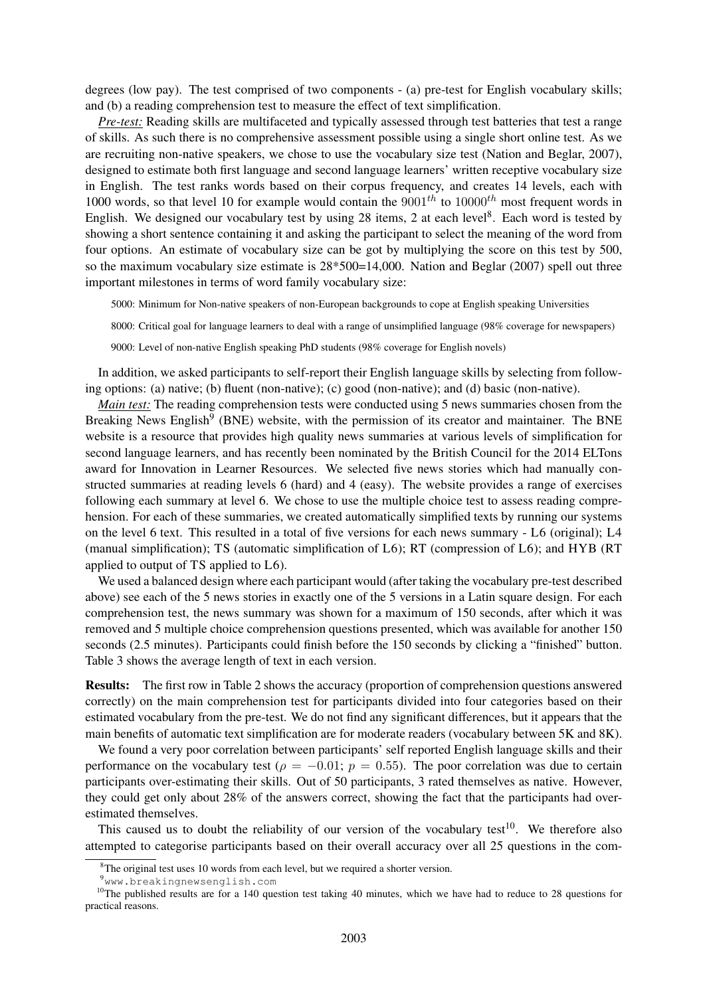degrees (low pay). The test comprised of two components - (a) pre-test for English vocabulary skills; and (b) a reading comprehension test to measure the effect of text simplification.

*Pre-test:* Reading skills are multifaceted and typically assessed through test batteries that test a range of skills. As such there is no comprehensive assessment possible using a single short online test. As we are recruiting non-native speakers, we chose to use the vocabulary size test (Nation and Beglar, 2007), designed to estimate both first language and second language learners' written receptive vocabulary size in English. The test ranks words based on their corpus frequency, and creates 14 levels, each with 1000 words, so that level 10 for example would contain the  $9001^{th}$  to  $10000^{th}$  most frequent words in English. We designed our vocabulary test by using 28 items, 2 at each level<sup>8</sup>. Each word is tested by showing a short sentence containing it and asking the participant to select the meaning of the word from four options. An estimate of vocabulary size can be got by multiplying the score on this test by 500, so the maximum vocabulary size estimate is 28\*500=14,000. Nation and Beglar (2007) spell out three important milestones in terms of word family vocabulary size:

5000: Minimum for Non-native speakers of non-European backgrounds to cope at English speaking Universities

8000: Critical goal for language learners to deal with a range of unsimplified language (98% coverage for newspapers)

9000: Level of non-native English speaking PhD students (98% coverage for English novels)

In addition, we asked participants to self-report their English language skills by selecting from following options: (a) native; (b) fluent (non-native); (c) good (non-native); and (d) basic (non-native).

*Main test:* The reading comprehension tests were conducted using 5 news summaries chosen from the Breaking News English<sup>9</sup> (BNE) website, with the permission of its creator and maintainer. The BNE website is a resource that provides high quality news summaries at various levels of simplification for second language learners, and has recently been nominated by the British Council for the 2014 ELTons award for Innovation in Learner Resources. We selected five news stories which had manually constructed summaries at reading levels 6 (hard) and 4 (easy). The website provides a range of exercises following each summary at level 6. We chose to use the multiple choice test to assess reading comprehension. For each of these summaries, we created automatically simplified texts by running our systems on the level 6 text. This resulted in a total of five versions for each news summary - L6 (original); L4 (manual simplification); TS (automatic simplification of L6); RT (compression of L6); and HYB (RT applied to output of TS applied to L6).

We used a balanced design where each participant would (after taking the vocabulary pre-test described above) see each of the 5 news stories in exactly one of the 5 versions in a Latin square design. For each comprehension test, the news summary was shown for a maximum of 150 seconds, after which it was removed and 5 multiple choice comprehension questions presented, which was available for another 150 seconds (2.5 minutes). Participants could finish before the 150 seconds by clicking a "finished" button. Table 3 shows the average length of text in each version.

Results: The first row in Table 2 shows the accuracy (proportion of comprehension questions answered correctly) on the main comprehension test for participants divided into four categories based on their estimated vocabulary from the pre-test. We do not find any significant differences, but it appears that the main benefits of automatic text simplification are for moderate readers (vocabulary between 5K and 8K).

We found a very poor correlation between participants' self reported English language skills and their performance on the vocabulary test ( $\rho = -0.01$ ;  $p = 0.55$ ). The poor correlation was due to certain participants over-estimating their skills. Out of 50 participants, 3 rated themselves as native. However, they could get only about 28% of the answers correct, showing the fact that the participants had overestimated themselves.

This caused us to doubt the reliability of our version of the vocabulary test<sup>10</sup>. We therefore also attempted to categorise participants based on their overall accuracy over all 25 questions in the com-

<sup>&</sup>lt;sup>8</sup>The original test uses 10 words from each level, but we required a shorter version.

<sup>9</sup>www.breakingnewsenglish.com

 $10$ The published results are for a 140 question test taking 40 minutes, which we have had to reduce to 28 questions for practical reasons.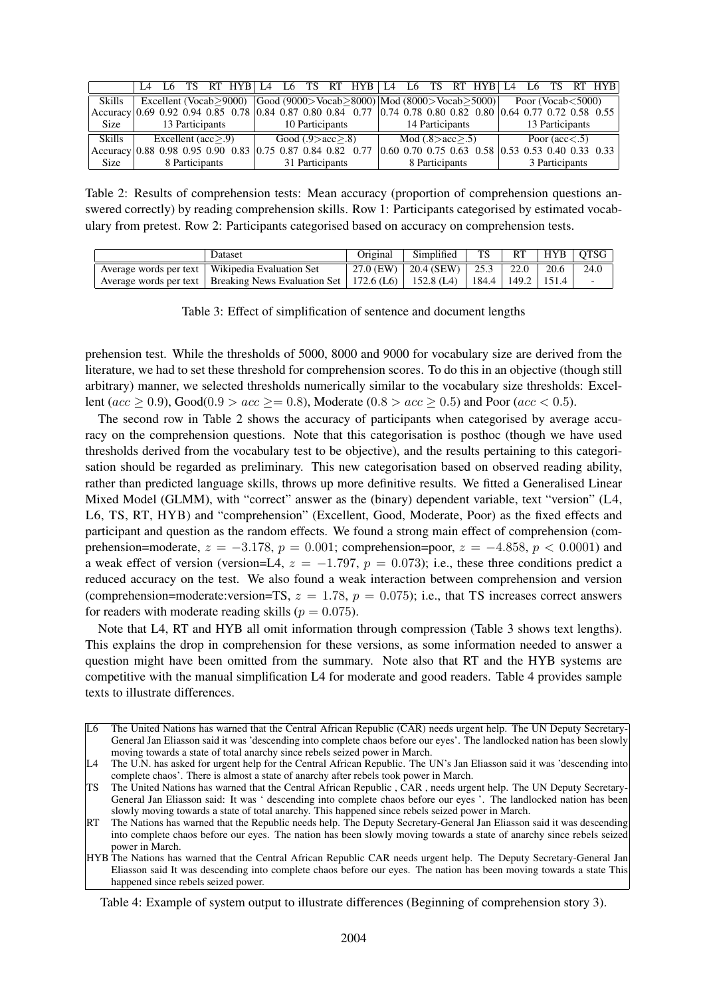|                                                                                                                      | $\mathsf{I}$                                                              |                           |  | $RT$ HYB $14$   |  | L6. | <b>TS</b> |                        | $RT$ HYB $1.4$ |  | L6                    |                 |  | TS RT HYB L4                                                   |  |  |                          |  | L6 TS RT HYB |
|----------------------------------------------------------------------------------------------------------------------|---------------------------------------------------------------------------|---------------------------|--|-----------------|--|-----|-----------|------------------------|----------------|--|-----------------------|-----------------|--|----------------------------------------------------------------|--|--|--------------------------|--|--------------|
| Skills                                                                                                               | Excellent (Vocab>9000) $ Good (9000> Vocab>8000) Mod (8000> Vocab>5000) $ |                           |  |                 |  |     |           |                        |                |  |                       |                 |  |                                                                |  |  | Poor (Vocab $<$ 5000)    |  |              |
| Accuracy   0.69 0.92 0.94 0.85 0.78   0.84 0.87 0.80 0.84 0.77   0.74 0.78 0.80 0.82 0.80   0.64 0.77 0.72 0.58 0.55 |                                                                           |                           |  |                 |  |     |           |                        |                |  |                       |                 |  |                                                                |  |  |                          |  |              |
| Size                                                                                                                 | 13 Participants                                                           |                           |  | 10 Participants |  |     |           | 14 Participants        |                |  |                       | 13 Participants |  |                                                                |  |  |                          |  |              |
| Skills                                                                                                               |                                                                           | Excellent (acc $\geq$ .9) |  |                 |  |     |           | Good $(.9 > acc > .8)$ |                |  | Mod $(.8 > acc > .5)$ |                 |  |                                                                |  |  | Poor $(\text{acc} < .5)$ |  |              |
| $ $ Accuracy $ 0.88\;0.98\;0.95\;0.90\;0.83\; 0.75\;0.87\;0.84\;0.82\;0.77$                                          |                                                                           |                           |  |                 |  |     |           |                        |                |  |                       |                 |  | $(0.60, 0.70, 0.75, 0.63, 0.58, 0.53, 0.53, 0.40, 0.33, 0.33)$ |  |  |                          |  |              |
| Size                                                                                                                 |                                                                           | 8 Participants            |  |                 |  |     |           | 31 Participants        |                |  |                       | 8 Participants  |  |                                                                |  |  | 3 Participants           |  |              |

Table 2: Results of comprehension tests: Mean accuracy (proportion of comprehension questions answered correctly) by reading comprehension skills. Row 1: Participants categorised by estimated vocabulary from pretest. Row 2: Participants categorised based on accuracy on comprehension tests.

| Dataset                                                                                                 | Original | Simplified                                  | $\overline{S}$ |  | $RT$ $HYB$ $OTSG$        |
|---------------------------------------------------------------------------------------------------------|----------|---------------------------------------------|----------------|--|--------------------------|
| Average words per text   Wikipedia Evaluation Set                                                       |          | 27.0 (EW)   20.4 (SEW)   25.3   22.0   20.6 |                |  | 24.0                     |
| Average words per text   Breaking News Evaluation Set   172.6 (L6)   152.8 (L4)   184.4   149.2   151.4 |          |                                             |                |  | $\overline{\phantom{0}}$ |

Table 3: Effect of simplification of sentence and document lengths

prehension test. While the thresholds of 5000, 8000 and 9000 for vocabulary size are derived from the literature, we had to set these threshold for comprehension scores. To do this in an objective (though still arbitrary) manner, we selected thresholds numerically similar to the vocabulary size thresholds: Excellent ( $acc \ge 0.9$ ), Good( $0.9 > acc \ge 0.8$ ), Moderate ( $0.8 > acc \ge 0.5$ ) and Poor ( $acc < 0.5$ ).

The second row in Table 2 shows the accuracy of participants when categorised by average accuracy on the comprehension questions. Note that this categorisation is posthoc (though we have used thresholds derived from the vocabulary test to be objective), and the results pertaining to this categorisation should be regarded as preliminary. This new categorisation based on observed reading ability, rather than predicted language skills, throws up more definitive results. We fitted a Generalised Linear Mixed Model (GLMM), with "correct" answer as the (binary) dependent variable, text "version" (L4, L6, TS, RT, HYB) and "comprehension" (Excellent, Good, Moderate, Poor) as the fixed effects and participant and question as the random effects. We found a strong main effect of comprehension (comprehension=moderate,  $z = -3.178$ ,  $p = 0.001$ ; comprehension=poor,  $z = -4.858$ ,  $p < 0.0001$ ) and a weak effect of version (version=L4,  $z = -1.797$ ,  $p = 0.073$ ); i.e., these three conditions predict a reduced accuracy on the test. We also found a weak interaction between comprehension and version (comprehension=moderate:version=TS,  $z = 1.78$ ,  $p = 0.075$ ); i.e., that TS increases correct answers for readers with moderate reading skills ( $p = 0.075$ ).

Note that L4, RT and HYB all omit information through compression (Table 3 shows text lengths). This explains the drop in comprehension for these versions, as some information needed to answer a question might have been omitted from the summary. Note also that RT and the HYB systems are competitive with the manual simplification L4 for moderate and good readers. Table 4 provides sample texts to illustrate differences.

Table 4: Example of system output to illustrate differences (Beginning of comprehension story 3).

L6 The United Nations has warned that the Central African Republic (CAR) needs urgent help. The UN Deputy Secretary-General Jan Eliasson said it was 'descending into complete chaos before our eyes'. The landlocked nation has been slowly moving towards a state of total anarchy since rebels seized power in March.

 $L4$  The U.N. has asked for urgent help for the Central African Republic. The UN's Jan Eliasson said it was 'descending into complete chaos'. There is almost a state of anarchy after rebels took power in March.

TS The United Nations has warned that the Central African Republic , CAR , needs urgent help. The UN Deputy Secretary-General Jan Eliasson said: It was ' descending into complete chaos before our eyes '. The landlocked nation has been slowly moving towards a state of total anarchy. This happened since rebels seized power in March.

RT The Nations has warned that the Republic needs help. The Deputy Secretary-General Jan Eliasson said it was descending into complete chaos before our eyes. The nation has been slowly moving towards a state of anarchy since rebels seized power in March.

HYB The Nations has warned that the Central African Republic CAR needs urgent help. The Deputy Secretary-General Jan Eliasson said It was descending into complete chaos before our eyes. The nation has been moving towards a state This happened since rebels seized power.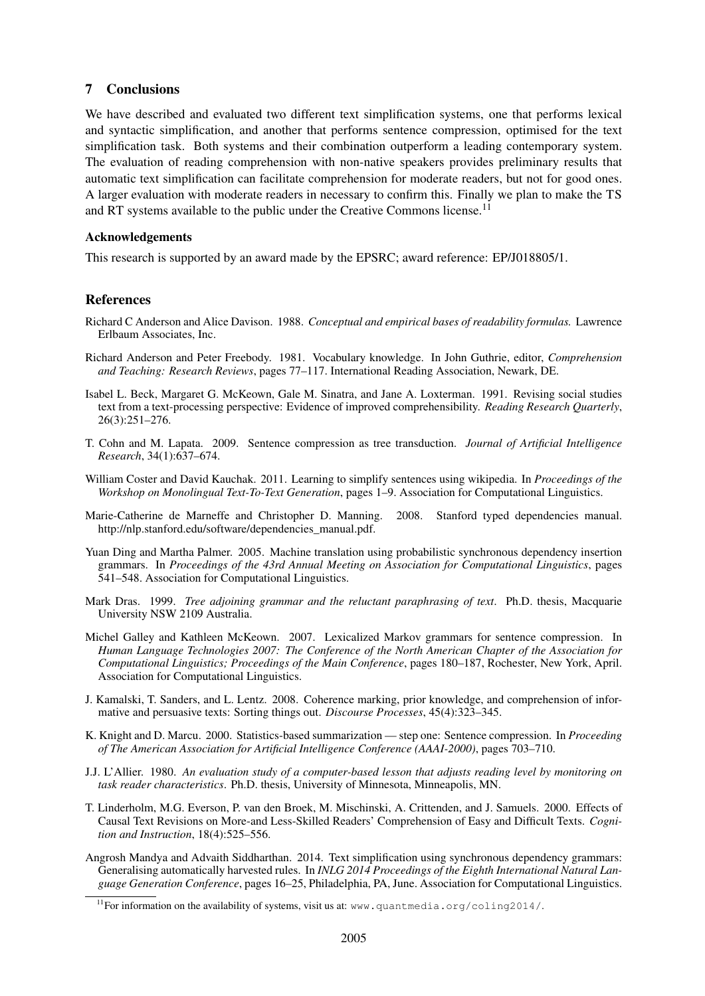# 7 Conclusions

We have described and evaluated two different text simplification systems, one that performs lexical and syntactic simplification, and another that performs sentence compression, optimised for the text simplification task. Both systems and their combination outperform a leading contemporary system. The evaluation of reading comprehension with non-native speakers provides preliminary results that automatic text simplification can facilitate comprehension for moderate readers, but not for good ones. A larger evaluation with moderate readers in necessary to confirm this. Finally we plan to make the TS and RT systems available to the public under the Creative Commons license.<sup>11</sup>

#### Acknowledgements

This research is supported by an award made by the EPSRC; award reference: EP/J018805/1.

# References

- Richard C Anderson and Alice Davison. 1988. *Conceptual and empirical bases of readability formulas.* Lawrence Erlbaum Associates, Inc.
- Richard Anderson and Peter Freebody. 1981. Vocabulary knowledge. In John Guthrie, editor, *Comprehension and Teaching: Research Reviews*, pages 77–117. International Reading Association, Newark, DE.
- Isabel L. Beck, Margaret G. McKeown, Gale M. Sinatra, and Jane A. Loxterman. 1991. Revising social studies text from a text-processing perspective: Evidence of improved comprehensibility. *Reading Research Quarterly*, 26(3):251–276.
- T. Cohn and M. Lapata. 2009. Sentence compression as tree transduction. *Journal of Artificial Intelligence Research*, 34(1):637–674.
- William Coster and David Kauchak. 2011. Learning to simplify sentences using wikipedia. In *Proceedings of the Workshop on Monolingual Text-To-Text Generation*, pages 1–9. Association for Computational Linguistics.
- Marie-Catherine de Marneffe and Christopher D. Manning. 2008. Stanford typed dependencies manual. http://nlp.stanford.edu/software/dependencies\_manual.pdf.
- Yuan Ding and Martha Palmer. 2005. Machine translation using probabilistic synchronous dependency insertion grammars. In *Proceedings of the 43rd Annual Meeting on Association for Computational Linguistics*, pages 541–548. Association for Computational Linguistics.
- Mark Dras. 1999. *Tree adjoining grammar and the reluctant paraphrasing of text*. Ph.D. thesis, Macquarie University NSW 2109 Australia.
- Michel Galley and Kathleen McKeown. 2007. Lexicalized Markov grammars for sentence compression. In *Human Language Technologies 2007: The Conference of the North American Chapter of the Association for Computational Linguistics; Proceedings of the Main Conference*, pages 180–187, Rochester, New York, April. Association for Computational Linguistics.
- J. Kamalski, T. Sanders, and L. Lentz. 2008. Coherence marking, prior knowledge, and comprehension of informative and persuasive texts: Sorting things out. *Discourse Processes*, 45(4):323–345.
- K. Knight and D. Marcu. 2000. Statistics-based summarization step one: Sentence compression. In *Proceeding of The American Association for Artificial Intelligence Conference (AAAI-2000)*, pages 703–710.
- J.J. L'Allier. 1980. *An evaluation study of a computer-based lesson that adjusts reading level by monitoring on task reader characteristics*. Ph.D. thesis, University of Minnesota, Minneapolis, MN.
- T. Linderholm, M.G. Everson, P. van den Broek, M. Mischinski, A. Crittenden, and J. Samuels. 2000. Effects of Causal Text Revisions on More-and Less-Skilled Readers' Comprehension of Easy and Difficult Texts. *Cognition and Instruction*, 18(4):525–556.
- Angrosh Mandya and Advaith Siddharthan. 2014. Text simplification using synchronous dependency grammars: Generalising automatically harvested rules. In *INLG 2014 Proceedings of the Eighth International Natural Language Generation Conference*, pages 16–25, Philadelphia, PA, June. Association for Computational Linguistics.

<sup>&</sup>lt;sup>11</sup>For information on the availability of systems, visit us at: www.quantmedia.org/coling2014/.